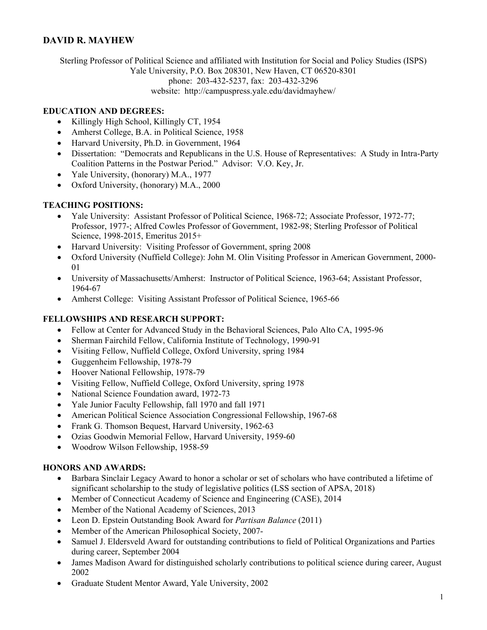### **DAVID R. MAYHEW**

Sterling Professor of Political Science and affiliated with Institution for Social and Policy Studies (ISPS) Yale University, P.O. Box 208301, New Haven, CT 06520-8301 phone: 203-432-5237, fax: 203-432-3296 website: <http://campuspress.yale.edu/davidmayhew>/

#### **EDUCATION AND DEGREES:**

- Killingly High School, Killingly CT, 1954
- Amherst College, B.A. in Political Science, 1958
- Harvard University, Ph.D. in Government, 1964
- Dissertation: "Democrats and Republicans in the U.S. House of Representatives: A Study in Intra-Party Coalition Patterns in the Postwar Period." Advisor: V.O. Key, Jr.
- Yale University, (honorary) M.A., 1977
- Oxford University, (honorary) M.A., 2000

### **TEACHING POSITIONS:**

- Yale University: Assistant Professor of Political Science, 1968-72; Associate Professor, 1972-77; Professor, 1977-; Alfred Cowles Professor of Government, 1982-98; Sterling Professor of Political Science, 1998-2015, Emeritus 2015+
- Harvard University: Visiting Professor of Government, spring 2008
- Oxford University (Nuffield College): John M. Olin Visiting Professor in American Government, 2000- 01
- University of Massachusetts/Amherst: Instructor of Political Science, 1963-64; Assistant Professor, 1964-67
- Amherst College: Visiting Assistant Professor of Political Science, 1965-66

#### **FELLOWSHIPS AND RESEARCH SUPPORT:**

- Fellow at Center for Advanced Study in the Behavioral Sciences, Palo Alto CA, 1995-96
- Sherman Fairchild Fellow, California Institute of Technology, 1990-91
- Visiting Fellow, Nuffield College, Oxford University, spring 1984
- Guggenheim Fellowship, 1978-79
- Hoover National Fellowship, 1978-79
- Visiting Fellow, Nuffield College, Oxford University, spring 1978
- National Science Foundation award, 1972-73
- Yale Junior Faculty Fellowship, fall 1970 and fall 1971
- American Political Science Association Congressional Fellowship, 1967-68
- Frank G. Thomson Bequest, Harvard University, 1962-63
- Ozias Goodwin Memorial Fellow, Harvard University, 1959-60
- Woodrow Wilson Fellowship, 1958-59

### **HONORS AND AWARDS:**

- Barbara Sinclair Legacy Award to honor a scholar or set of scholars who have contributed a lifetime of significant scholarship to the study of legislative politics (LSS section of APSA, 2018)
- Member of Connecticut Academy of Science and Engineering (CASE), 2014
- Member of the National Academy of Sciences, 2013
- Leon D. Epstein Outstanding Book Award for *Partisan Balance* (2011)
- Member of the American Philosophical Society, 2007-
- Samuel J. Eldersveld Award for outstanding contributions to field of Political Organizations and Parties during career, September 2004
- James Madison Award for distinguished scholarly contributions to political science during career, August 2002
- Graduate Student Mentor Award, Yale University, 2002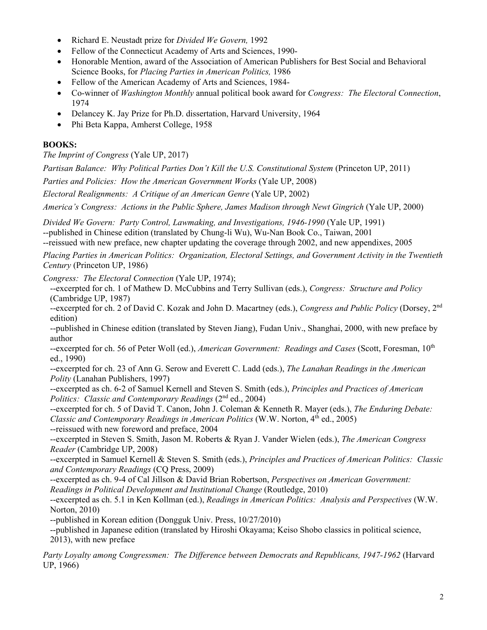- Richard E. Neustadt prize for *Divided We Govern,* 1992
- Fellow of the Connecticut Academy of Arts and Sciences, 1990-
- Honorable Mention, award of the Association of American Publishers for Best Social and Behavioral Science Books, for *Placing Parties in American Politics,* 1986
- Fellow of the American Academy of Arts and Sciences, 1984-
- Co-winner of *Washington Monthly* annual political book award for *Congress: The Electoral Connection*, 1974
- Delancey K. Jay Prize for Ph.D. dissertation, Harvard University, 1964
- Phi Beta Kappa, Amherst College, 1958

## **BOOKS:**

*The Imprint of Congress* (Yale UP, 2017)

*Partisan Balance: Why Political Parties Don't Kill the U.S. Constitutional System (Princeton UP, 2011)* 

*Parties and Policies: How the American Government Works* (Yale UP, 2008)

*Electoral Realignments: A Critique of an American Genre* (Yale UP, 2002)

*America's Congress: Actions in the Public Sphere, James Madison through Newt Gingrich* (Yale UP, 2000)

*Divided We Govern: Party Control, Lawmaking, and Investigations, 1946-1990* (Yale UP, 1991) --published in Chinese edition (translated by Chung-li Wu), Wu-Nan Book Co., Taiwan, 2001 --reissued with new preface, new chapter updating the coverage through 2002, and new appendixes, 2005

*Placing Parties in American Politics: Organization, Electoral Settings, and Government Activity in the Twentieth Century* (Princeton UP, 1986)

*Congress: The Electoral Connection* (Yale UP, 1974);

--excerpted for ch. 1 of Mathew D. McCubbins and Terry Sullivan (eds.), *Congress: Structure and Policy*  (Cambridge UP, 1987)

--excerpted for ch. 2 of David C. Kozak and John D. Macartney (eds.), *Congress and Public Policy* (Dorsey, 2nd edition)

--published in Chinese edition (translated by Steven Jiang), Fudan Univ., Shanghai, 2000, with new preface by author

--excerpted for ch. 56 of Peter Woll (ed.), *American Government: Readings and Cases* (Scott, Foresman, 10th ed., 1990)

--excerpted for ch. 23 of Ann G. Serow and Everett C. Ladd (eds.), *The Lanahan Readings in the American Polity* (Lanahan Publishers, 1997)

--excerpted as ch. 6-2 of Samuel Kernell and Steven S. Smith (eds.), *Principles and Practices of American Politics: Classic and Contemporary Readings* (2<sup>nd</sup> ed., 2004)

--excerpted for ch. 5 of David T. Canon, John J. Coleman & Kenneth R. Mayer (eds.), *The Enduring Debate: Classic and Contemporary Readings in American Politics* (W.W. Norton, 4<sup>th</sup> ed., 2005)

--reissued with new foreword and preface, 2004

--excerpted in Steven S. Smith, Jason M. Roberts & Ryan J. Vander Wielen (eds.), *The American Congress Reader* (Cambridge UP, 2008)

--excerpted in Samuel Kernell & Steven S. Smith (eds.), *Principles and Practices of American Politics: Classic and Contemporary Readings* (CQ Press, 2009)

--excerpted as ch. 9-4 of Cal Jillson & David Brian Robertson, *Perspectives on American Government: Readings in Political Development and Institutional Change* (Routledge, 2010)

--excerpted as ch. 5.1 in Ken Kollman (ed.), *Readings in American Politics: Analysis and Perspectives* (W.W. Norton, 2010)

--published in Korean edition (Dongguk Univ. Press, 10/27/2010)

--published in Japanese edition (translated by Hiroshi Okayama; Keiso Shobo classics in political science, 2013), with new preface

Party Loyalty among Congressmen: The Difference between Democrats and Republicans, 1947-1962 (Harvard UP, 1966)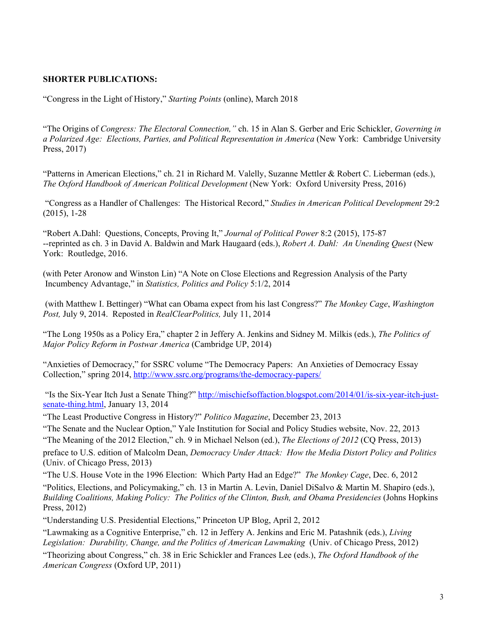#### **SHORTER PUBLICATIONS:**

"Congress in the Light of History," *Starting Points* (online), March 2018

"The Origins of *Congress: The Electoral Connection,"* ch. 15 in Alan S. Gerber and Eric Schickler, *Governing in a Polarized Age: Elections, Parties, and Political Representation in America* (New York: Cambridge University Press, 2017)

"Patterns in American Elections," ch. 21 in Richard M. Valelly, Suzanne Mettler & Robert C. Lieberman (eds.), *The Oxford Handbook of American Political Development* (New York: Oxford University Press, 2016)

 (2015), 1-28 "Congress as a Handler of Challenges: The Historical Record," *Studies in American Political Development* 29:2

"Robert A.Dahl: Questions, Concepts, Proving It," *Journal of Political Power* 8:2 (2015), 175-87 --reprinted as ch. 3 in David A. Baldwin and Mark Haugaard (eds.), *Robert A. Dahl: An Unending Quest* (New York: Routledge, 2016.

(with Peter Aronow and Winston Lin) "A Note on Close Elections and Regression Analysis of the Party Incumbency Advantage," in *Statistics, Politics and Policy* 5:1/2, 2014

 (with Matthew I. Bettinger) "What can Obama expect from his last Congress?" *The Monkey Cage*, *Washington Post,* July 9, 2014. Reposted in *RealClearPolitics,* July 11, 2014

"The Long 1950s as a Policy Era," chapter 2 in Jeffery A. Jenkins and Sidney M. Milkis (eds.), *The Politics of Major Policy Reform in Postwar America* (Cambridge UP, 2014)

"Anxieties of Democracy," for SSRC volume "The Democracy Papers: An Anxieties of Democracy Essay Collection," spring 2014, [http://www.ssrc.org/programs/the-democracy-papers/](http://www.ssrc.org/programs/the-democracy-papers)

 "Is the Six-Year Itch Just a Senate Thing?"<http://mischiefsoffaction.blogspot.com/2014/01/is-six-year-itch-just>senate-thing.html, January 13, 2014

 "The Least Productive Congress in History?" *Politico Magazine*, December 23, 2013

"The Senate and the Nuclear Option," Yale Institution for Social and Policy Studies website, Nov. 22, 2013

"The Meaning of the 2012 Election," ch. 9 in Michael Nelson (ed.), *The Elections of 2012* (CQ Press, 2013)

preface to U.S. edition of Malcolm Dean, *Democracy Under Attack: How the Media Distort Policy and Politics*  (Univ. of Chicago Press, 2013)

"The U.S. House Vote in the 1996 Election: Which Party Had an Edge?" *The Monkey Cage*, Dec. 6, 2012 "Politics, Elections, and Policymaking," ch. 13 in Martin A. Levin, Daniel DiSalvo & Martin M. Shapiro (eds.), *Building Coalitions, Making Policy: The Politics of the Clinton, Bush, and Obama Presidencies* (Johns Hopkins Press, 2012)

"Understanding U.S. Presidential Elections," Princeton UP Blog, April 2, 2012

"Lawmaking as a Cognitive Enterprise," ch. 12 in Jeffery A. Jenkins and Eric M. Patashnik (eds.), *Living Legislation: Durability, Change, and the Politics of American Lawmaking (Univ. of Chicago Press, 2012)* 

"Theorizing about Congress," ch. 38 in Eric Schickler and Frances Lee (eds.), *The Oxford Handbook of the American Congress* (Oxford UP, 2011)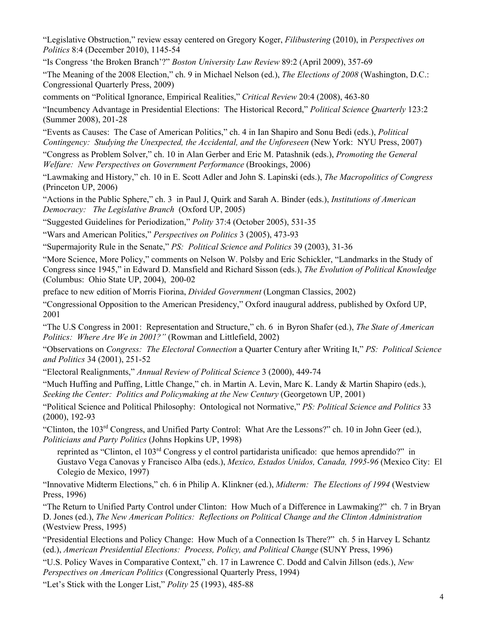"Legislative Obstruction," review essay centered on Gregory Koger, *Filibustering* (2010), in *Perspectives on Politics* 8:4 (December 2010), 1145-54

"Is Congress 'the Broken Branch'?" *Boston University Law Review* 89:2 (April 2009), 357-69

"The Meaning of the 2008 Election," ch. 9 in Michael Nelson (ed.), *The Elections of 2008* (Washington, D.C.: Congressional Quarterly Press, 2009)

comments on "Political Ignorance, Empirical Realities," *Critical Review* 20:4 (2008), 463-80

"Incumbency Advantage in Presidential Elections: The Historical Record," *Political Science Quarterly* 123:2 (Summer 2008), 201-28

"Events as Causes: The Case of American Politics," ch. 4 in Ian Shapiro and Sonu Bedi (eds.), *Political Contingency: Studying the Unexpected, the Accidental, and the Unforeseen* (New York: NYU Press, 2007)

"Congress as Problem Solver," ch. 10 in Alan Gerber and Eric M. Patashnik (eds.), *Promoting the General Welfare: New Perspectives on Government Performance* (Brookings, 2006)

"Lawmaking and History," ch. 10 in E. Scott Adler and John S. Lapinski (eds.), *The Macropolitics of Congress*  (Princeton UP, 2006)

"Actions in the Public Sphere," ch. 3 in Paul J, Quirk and Sarah A. Binder (eds.), *Institutions of American Democracy: The Legislative Branch* (Oxford UP, 2005)

"Suggested Guidelines for Periodization," *Polity* 37:4 (October 2005), 531-35

"Wars and American Politics," *Perspectives on Politics* 3 (2005), 473-93

"Supermajority Rule in the Senate," *PS: Political Science and Politics* 39 (2003), 31-36

"More Science, More Policy," comments on Nelson W. Polsby and Eric Schickler, "Landmarks in the Study of Congress since 1945," in Edward D. Mansfield and Richard Sisson (eds.), *The Evolution of Political Knowledge*  (Columbus: Ohio State UP, 2004), 200-02

preface to new edition of Morris Fiorina, *Divided Government* (Longman Classics, 2002)

"Congressional Opposition to the American Presidency," Oxford inaugural address, published by Oxford UP, 2001

"The U.S Congress in 2001: Representation and Structure," ch. 6 in Byron Shafer (ed.), *The State of American Politics: Where Are We in 2001?"* (Rowman and Littlefield, 2002)

"Observations on *Congress: The Electoral Connection* a Quarter Century after Writing It," *PS: Political Science and Politics* 34 (2001), 251-52

"Electoral Realignments," *Annual Review of Political Science* 3 (2000), 449-74

"Much Huffing and Puffing, Little Change," ch. in Martin A. Levin, Marc K. Landy & Martin Shapiro (eds.), *Seeking the Center: Politics and Policymaking at the New Century* (Georgetown UP, 2001)

 (2000), 192-93 "Political Science and Political Philosophy: Ontological not Normative," *PS: Political Science and Politics* 33

"Clinton, the 103rd Congress, and Unified Party Control: What Are the Lessons?" ch. 10 in John Geer (ed.), *Politicians and Party Politics* (Johns Hopkins UP, 1998)

reprinted as "Clinton, el 103<sup>rd</sup> Congress y el control partidarista unificado: que hemos aprendido?" in Gustavo Vega Canovas y Francisco Alba (eds.), *Mexico, Estados Unidos, Canada, 1995-96* (Mexico City: El Colegio de Mexico, 1997)

"Innovative Midterm Elections," ch. 6 in Philip A. Klinkner (ed.), *Midterm: The Elections of 1994* (Westview Press, 1996)

"The Return to Unified Party Control under Clinton: How Much of a Difference in Lawmaking?" ch. 7 in Bryan D. Jones (ed.), *The New American Politics: Reflections on Political Change and the Clinton Administration*  (Westview Press, 1995)

"Presidential Elections and Policy Change: How Much of a Connection Is There?" ch. 5 in Harvey L Schantz (ed.), *American Presidential Elections: Process, Policy, and Political Change* (SUNY Press, 1996)

"U.S. Policy Waves in Comparative Context," ch. 17 in Lawrence C. Dodd and Calvin Jillson (eds.), *New Perspectives on American Politics* (Congressional Quarterly Press, 1994)

"Let's Stick with the Longer List," *Polity* 25 (1993), 485-88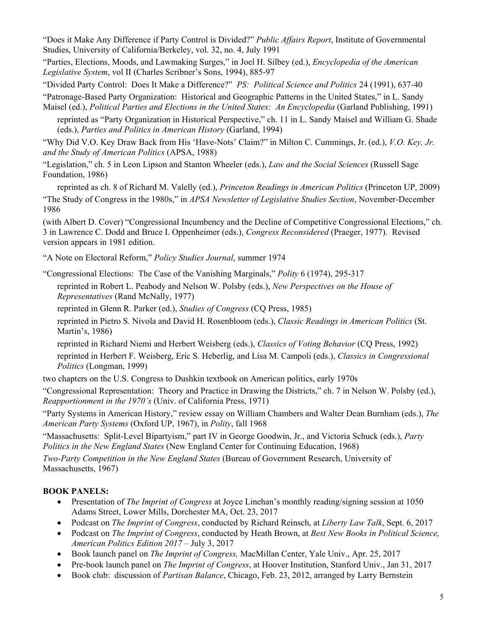Studies, University of California/Berkeley, vol. 32, no. 4, July 1991 "Does it Make Any Difference if Party Control is Divided?" *Public Affairs Report*, Institute of Governmental

"Parties, Elections, Moods, and Lawmaking Surges," in Joel H. Silbey (ed.), *Encyclopedia of the American Legislative System*, vol II (Charles Scribner's Sons, 1994), 885-97

"Divided Party Control: Does It Make a Difference?" *PS: Political Science and Politics* 24 (1991), 637*-*40

"Patronage-Based Party Organization: Historical and Geographic Patterns in the United States," in L. Sandy Maisel (ed.), *Political Parties and Elections in the United States: An Encyclopedia* (Garland Publishing, 1991)

reprinted as "Party Organization in Historical Perspective," ch. 11 in L. Sandy Maisel and William G. Shade (eds.), *Parties and Politics in American History* (Garland, 1994)

 "Why Did V.O. Key Draw Back from His 'Have-Nots' Claim?" in Milton C. Cummings, Jr. (ed.), *V.O. Key, Jr. and the Study of American Politics* (APSA, 1988)

"Legislation," ch. 5 in Leon Lipson and Stanton Wheeler (eds.), *Law and the Social Sciences* (Russell Sage Foundation, 1986)

reprinted as ch. 8 of Richard M. Valelly (ed.), *Princeton Readings in American Politics* (Princeton UP, 2009) "The Study of Congress in the 1980s," in *APSA Newsletter of Legislative Studies Section*, November-December 1986

(with Albert D. Cover) "Congressional Incumbency and the Decline of Competitive Congressional Elections," ch. 3 in Lawrence C. Dodd and Bruce I. Oppenheimer (eds.), *Congress Reconsidered* (Praeger, 1977). Revised version appears in 1981 edition.

"A Note on Electoral Reform," *Policy Studies Journal*, summer 1974

"Congressional Elections: The Case of the Vanishing Marginals," *Polity* 6 (1974), 295-317

 reprinted in Robert L. Peabody and Nelson W. Polsby (eds.), *New Perspectives on the House of Representatives* (Rand McNally, 1977)

reprinted in Glenn R. Parker (ed.), *Studies of Congress* (CQ Press, 1985)

reprinted in Pietro S. Nivola and David H. Rosenbloom (eds.), *Classic Readings in American Politics* (St. Martin's, 1986)

reprinted in Richard Niemi and Herbert Weisberg (eds.), *Classics of Voting Behavior* (CQ Press, 1992)

 *Politics* (Longman, 1999) reprinted in Herbert F. Weisberg, Eric S. Heberlig, and Lisa M. Campoli (eds.), *Classics in Congressional* 

two chapters on the U.S. Congress to Dushkin textbook on American politics, early 1970s

"Congressional Representation: Theory and Practice in Drawing the Districts," ch. 7 in Nelson W. Polsby (ed.), *Reapportionment in the 1970's* (Univ. of California Press, 1971)

"Party Systems in American History," review essay on William Chambers and Walter Dean Burnham (eds.), *The American Party Systems* (Oxford UP, 1967), in *Polity*, fall 1968

"Massachusetts: Split-Level Bipartyism," part IV in George Goodwin, Jr., and Victoria Schuck (eds.), *Party Politics in the New England States* (New England Center for Continuing Education, 1968)

*Two-Party Competition in the New England States* (Bureau of Government Research, University of Massachusetts, 1967)

# **BOOK PANELS:**

- Presentation of *The Imprint of Congress* at Joyce Linehan's monthly reading/signing session at 1050 Adams Street, Lower Mills, Dorchester MA, Oct. 23, 2017
- Podcast on *The Imprint of Congress*, conducted by Richard Reinsch, at *Liberty Law Talk*, Sept. 6, 2017
- Podcast on *The Imprint of Congress*, conducted by Heath Brown, at *Best New Books in Political Science, American Politics Edition 2017* – July 3, 2017
- Book launch panel on *The Imprint of Congress,* MacMillan Center, Yale Univ., Apr. 25, 2017
- Pre-book launch panel on *The Imprint of Congress*, at Hoover Institution, Stanford Univ., Jan 31, 2017
- Book club: discussion of *Partisan Balance*, Chicago, Feb. 23, 2012, arranged by Larry Bernstein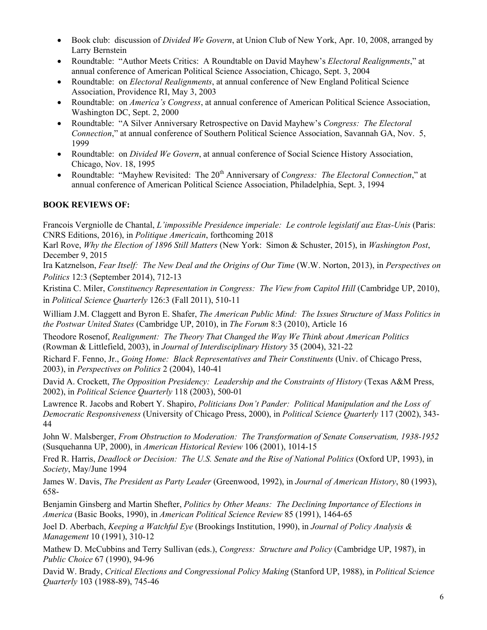- Book club: discussion of *Divided We Govern*, at Union Club of New York, Apr. 10, 2008, arranged by Larry Bernstein
- Roundtable: "Author Meets Critics: A Roundtable on David Mayhew's *Electoral Realignments*," at annual conference of American Political Science Association, Chicago, Sept. 3, 2004
- Association, Providence RI, May 3, 2003 Roundtable: on *Electoral Realignments*, at annual conference of New England Political Science
- Roundtable: on *America's Congress*, at annual conference of American Political Science Association, Washington DC, Sept. 2, 2000
- Roundtable: "A Silver Anniversary Retrospective on David Mayhew's *Congress: The Electoral Connection*," at annual conference of Southern Political Science Association, Savannah GA, Nov. 5, 1999
- Roundtable: on *Divided We Govern*, at annual conference of Social Science History Association, Chicago, Nov. 18, 1995
- Roundtable: "Mayhew Revisited: The 20<sup>th</sup> Anniversary of *Congress: The Electoral Connection*," at annual conference of American Political Science Association, Philadelphia, Sept. 3, 1994

## **BOOK REVIEWS OF:**

Francois Vergniolle de Chantal, *L'impossible Presidence imperiale: Le controle legislatif auz Etas-Unis* (Paris: CNRS Editions, 2016), in *Politique Americain*, forthcoming 2018

Karl Rove, *Why the Election of 1896 Still Matters* (New York: Simon & Schuster, 2015), in *Washington Post*, December 9, 2015

Ira Katznelson, *Fear Itself: The New Deal and the Origins of Our Time* (W.W. Norton, 2013), in *Perspectives on Politics* 12:3 (September 2014), 712-13

 in *Political Science Quarterly* 126:3 (Fall 2011), 510-11 Kristina C. Miler, *Constituency Representation in Congress: The View from Capitol Hill* (Cambridge UP, 2010),

 *the Postwar United States* (Cambridge UP, 2010), in *The Forum* 8:3 (2010), Article 16 William J.M. Claggett and Byron E. Shafer, *The American Public Mind: The Issues Structure of Mass Politics in* 

Theodore Rosenof, *Realignment: The Theory That Changed the Way We Think about American Politics*  (Rowman & Littlefield, 2003), in *Journal of Interdisciplinary History* 35 (2004), 321-22

Richard F. Fenno, Jr., *Going Home: Black Representatives and Their Constituents* (Univ. of Chicago Press, 2003), in *Perspectives on Politics* 2 (2004), 140-41

David A. Crockett, *The Opposition Presidency: Leadership and the Constraints of History* (Texas A&M Press, 2002), in *Political Science Quarterly* 118 (2003), 500-01

 44 Lawrence R. Jacobs and Robert Y. Shapiro, *Politicians Don't Pander: Political Manipulation and the Loss of Democratic Responsiveness* (University of Chicago Press, 2000), in *Political Science Quarterly* 117 (2002), 343-

John W. Malsberger, *From Obstruction to Moderation: The Transformation of Senate Conservatism, 1938-1952*  (Susquehanna UP, 2000), in *American Historical Review* 106 (2001), 1014-15

 *Society*, May/June 1994 Fred R. Harris, *Deadlock or Decision: The U.S. Senate and the Rise of National Politics* (Oxford UP, 1993), in

James W. Davis, *The President as Party Leader* (Greenwood, 1992), in *Journal of American History*, 80 (1993), 658-

Benjamin Ginsberg and Martin Shefter, *Politics by Other Means: The Declining Importance of Elections in America* (Basic Books, 1990), in *American Political Science Review* 85 (1991), 1464-65

Joel D. Aberbach, *Keeping a Watchful Eye* (Brookings Institution, 1990), in *Journal of Policy Analysis & Management* 10 (1991), 310-12

Mathew D. McCubbins and Terry Sullivan (eds.), *Congress: Structure and Policy* (Cambridge UP, 1987), in *Public Choice* 67 (1990), 94-96

 David W. Brady, *Critical Elections and Congressional Policy Making* (Stanford UP, 1988), in *Political Science Quarterly* 103 (1988-89), 745-46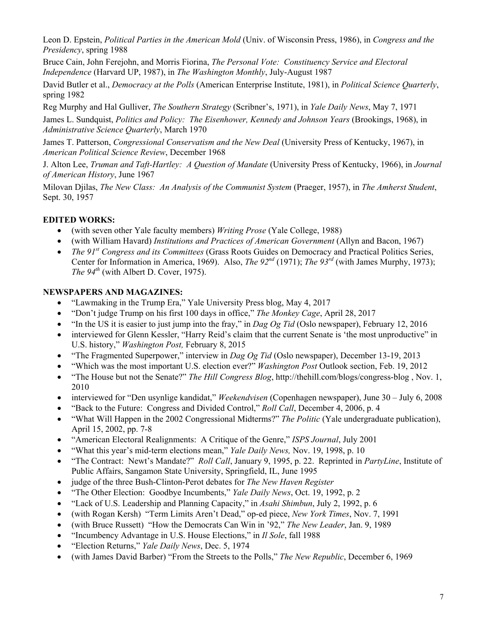Leon D. Epstein, *Political Parties in the American Mold* (Univ. of Wisconsin Press, 1986), in *Congress and the Presidency*, spring 1988

Bruce Cain, John Ferejohn, and Morris Fiorina, *The Personal Vote: Constituency Service and Electoral Independence* (Harvard UP, 1987), in *The Washington Monthly*, July-August 1987

David Butler et al., *Democracy at the Polls* (American Enterprise Institute, 1981), in *Political Science Quarterly*, spring 1982

Reg Murphy and Hal Gulliver, *The Southern Strategy* (Scribner's, 1971), in *Yale Daily News*, May 7, 1971

James L. Sundquist, *Politics and Policy: The Eisenhower, Kennedy and Johnson Years* (Brookings, 1968), in *Administrative Science Quarterly*, March 1970

James T. Patterson, *Congressional Conservatism and the New Deal* (University Press of Kentucky, 1967), in *American Political Science Review*, December 1968

J. Alton Lee, *Truman and Taft-Hartley: A Question of Mandate* (University Press of Kentucky, 1966), in *Journal of American History*, June 1967

Milovan Djilas, *The New Class: An Analysis of the Communist System* (Praeger, 1957), in *The Amherst Student*, Sept. 30, 1957

## **EDITED WORKS:**

- (with seven other Yale faculty members) *Writing Prose* (Yale College, 1988)
- (with William Havard) *Institutions and Practices of American Government* (Allyn and Bacon, 1967)
- *The 91st Congress and its Committees* (Grass Roots Guides on Democracy and Practical Politics Series, Center for Information in America, 1969). Also, *The 92<sup>nd</sup>* (1971); *The 93<sup>rd</sup>* (with James Murphy, 1973); *The 94th* (with Albert D. Cover, 1975).

### **NEWSPAPERS AND MAGAZINES:**

- "Lawmaking in the Trump Era," Yale University Press blog, May 4, 2017
- "Don't judge Trump on his first 100 days in office," *The Monkey Cage*, April 28, 2017
- "In the US it is easier to just jump into the fray," in *Dag Og Tid* (Oslo newspaper), February 12, 2016
- interviewed for Glenn Kessler, "Harry Reid's claim that the current Senate is 'the most unproductive" in U.S. history," *Washington Post,* February 8, 2015
- "The Fragmented Superpower," interview in *Dag Og Tid* (Oslo newspaper), December 13-19, 2013
- "Which was the most important U.S. election ever?" *Washington Post* Outlook section, Feb. 19, 2012
- 2010 "The House but not the Senate?" *The Hill Congress Blog*, <http://thehill.com/blogs/congress-blog>, Nov. 1,
- interviewed for "Den usynlige kandidat," *Weekendvisen* (Copenhagen newspaper), June 30 July 6, 2008
- "Back to the Future: Congress and Divided Control," *Roll Call*, December 4, 2006, p. 4
- "What Will Happen in the 2002 Congressional Midterms?" *The Politic* (Yale undergraduate publication), April 15, 2002, pp. 7-8
- "American Electoral Realignments: A Critique of the Genre," *ISPS Journal*, July 2001
- "What this year's mid-term elections mean," *Yale Daily News,* Nov. 19, 1998, p. 10
- "The Contract: Newt's Mandate?" *Roll Call*, January 9, 1995, p. 22. Reprinted in *PartyLine*, Institute of Public Affairs, Sangamon State University, Springfield, IL, June 1995
- judge of the three Bush-Clinton-Perot debates for *The New Haven Register*
- "The Other Election: Goodbye Incumbents," *Yale Daily News*, Oct. 19, 1992, p. 2
- "Lack of U.S. Leadership and Planning Capacity," in *Asahi Shimbun*, July 2, 1992, p. 6
- (with Rogan Kersh) "Term Limits Aren't Dead," op-ed piece, *New York Times*, Nov. 7, 1991
- (with Bruce Russett) "How the Democrats Can Win in '92," *The New Leader*, Jan. 9, 1989
- "Incumbency Advantage in U.S. House Elections," in *Il Sole*, fall 1988
- "Election Returns," *Yale Daily News*, Dec. 5, 1974
- (with James David Barber) "From the Streets to the Polls," *The New Republic*, December 6, 1969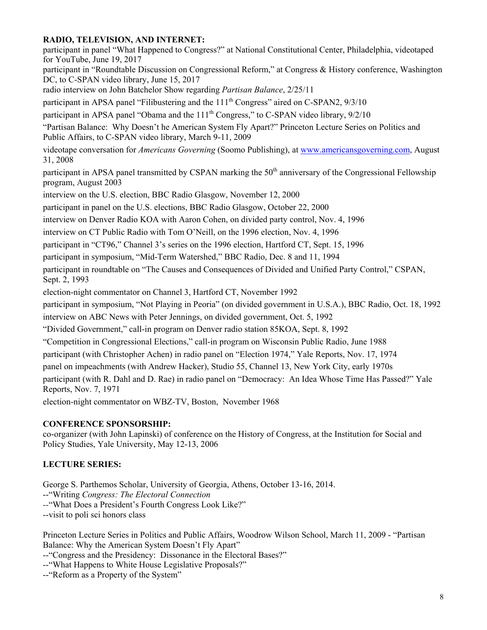### **RADIO, TELEVISION, AND INTERNET:**

participant in panel "What Happened to Congress?" at National Constitutional Center, Philadelphia, videotaped for YouTube, June 19, 2017

participant in "Roundtable Discussion on Congressional Reform," at Congress & History conference, Washington DC, to C-SPAN video library, June 15, 2017

radio interview on John Batchelor Show regarding *Partisan Balance*, 2/25/11

participant in APSA panel "Filibustering and the 111<sup>th</sup> Congress" aired on C-SPAN2, 9/3/10

participant in APSA panel "Obama and the  $111<sup>th</sup>$  Congress," to C-SPAN video library,  $9/2/10$ 

 "Partisan Balance: Why Doesn't he American System Fly Apart?" Princeton Lecture Series on Politics and Public Affairs, to C-SPAN video library, March 9-11, 2009

videotape conversation for *Americans Governing* (Soomo Publishing), at [www.americansgoverning.com,](www.americansgoverning.com) August 31, 2008

participant in APSA panel transmitted by CSPAN marking the 50<sup>th</sup> anniversary of the Congressional Fellowship program, August 2003

interview on the U.S. election, BBC Radio Glasgow, November 12, 2000

participant in panel on the U.S. elections, BBC Radio Glasgow, October 22, 2000

interview on Denver Radio KOA with Aaron Cohen, on divided party control, Nov. 4, 1996

interview on CT Public Radio with Tom O'Neill, on the 1996 election, Nov. 4, 1996

participant in "CT96," Channel 3's series on the 1996 election, Hartford CT, Sept. 15, 1996

participant in symposium, "Mid-Term Watershed," BBC Radio, Dec. 8 and 11, 1994

participant in roundtable on "The Causes and Consequences of Divided and Unified Party Control," CSPAN, Sept. 2, 1993

election-night commentator on Channel 3, Hartford CT, November 1992

participant in symposium, "Not Playing in Peoria" (on divided government in U.S.A.), BBC Radio, Oct. 18, 1992

interview on ABC News with Peter Jennings, on divided government, Oct. 5, 1992

"Divided Government," call-in program on Denver radio station 85KOA, Sept. 8, 1992

"Competition in Congressional Elections," call-in program on Wisconsin Public Radio, June 1988

participant (with Christopher Achen) in radio panel on "Election 1974," Yale Reports, Nov. 17, 1974

panel on impeachments (with Andrew Hacker), Studio 55, Channel 13, New York City, early 1970s

participant (with R. Dahl and D. Rae) in radio panel on "Democracy: An Idea Whose Time Has Passed?" Yale Reports, Nov. 7, 1971

election-night commentator on WBZ-TV, Boston, November 1968

#### **CONFERENCE SPONSORSHIP:**

co-organizer (with John Lapinski) of conference on the History of Congress, at the Institution for Social and Policy Studies, Yale University, May 12-13, 2006

### **LECTURE SERIES:**

George S. Parthemos Scholar, University of Georgia, Athens, October 13-16, 2014. --"Writing *Congress: The Electoral Connection --*"What Does a President's Fourth Congress Look Like?" --visit to poli sci honors class

Princeton Lecture Series in Politics and Public Affairs, Woodrow Wilson School, March 11, 2009 - "Partisan Balance: Why the American System Doesn't Fly Apart"

--"Congress and the Presidency: Dissonance in the Electoral Bases?"

--"What Happens to White House Legislative Proposals?"

--"Reform as a Property of the System"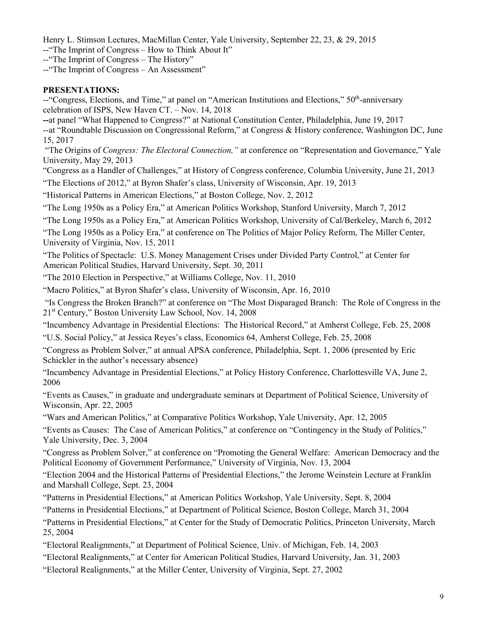Henry L. Stimson Lectures, MacMillan Center, Yale University, September 22, 23, & 29, 2015

--"The Imprint of Congress – How to Think About It"

--"The Imprint of Congress – The History"

--"The Imprint of Congress – An Assessment"

# **PRESENTATIONS:**

--"Congress, Elections, and Time," at panel on "American Institutions and Elections," 50<sup>th</sup>-anniversary celebration of ISPS, New Haven CT. – Nov. 14, 2018

**--**at panel "What Happened to Congress?" at National Constitution Center, Philadelphia, June 19, 2017

 15, 2017 --at "Roundtable Discussion on Congressional Reform," at Congress & History conference, Washington DC, June

 "The Origins of *Congress: The Electoral Connection,"* at conference on "Representation and Governance," Yale University, May 29, 2013

"Congress as a Handler of Challenges," at History of Congress conference, Columbia University, June 21, 2013

"The Elections of 2012," at Byron Shafer's class, University of Wisconsin, Apr. 19, 2013

"Historical Patterns in American Elections," at Boston College, Nov. 2, 2012

"The Long 1950s as a Policy Era," at American Politics Workshop, Stanford University, March 7, 2012

"The Long 1950s as a Policy Era," at American Politics Workshop, University of Cal/Berkeley, March 6, 2012

"The Long 1950s as a Policy Era," at conference on The Politics of Major Policy Reform, The Miller Center, University of Virginia, Nov. 15, 2011

 "The Politics of Spectacle: U.S. Money Management Crises under Divided Party Control," at Center for American Political Studies, Harvard University, Sept. 30, 2011

"The 2010 Election in Perspective," at Williams College, Nov. 11, 2010

"Macro Politics," at Byron Shafer's class, University of Wisconsin, Apr. 16, 2010

 "Is Congress the Broken Branch?" at conference on "The Most Disparaged Branch: The Role of Congress in the 21st Century," Boston University Law School, Nov. 14, 2008

"Incumbency Advantage in Presidential Elections: The Historical Record," at Amherst College, Feb. 25, 2008

"U.S. Social Policy," at Jessica Reyes's class, Economics 64, Amherst College, Feb. 25, 2008

"Congress as Problem Solver," at annual APSA conference, Philadelphia, Sept. 1, 2006 (presented by Eric Schickler in the author's necessary absence)

 2006 "Incumbency Advantage in Presidential Elections," at Policy History Conference, Charlottesville VA, June 2,

"Events as Causes," in graduate and undergraduate seminars at Department of Political Science, University of Wisconsin, Apr. 22, 2005

"Wars and American Politics," at Comparative Politics Workshop, Yale University, Apr. 12, 2005

"Events as Causes: The Case of American Politics," at conference on "Contingency in the Study of Politics," Yale University, Dec. 3, 2004

"Congress as Problem Solver," at conference on "Promoting the General Welfare: American Democracy and the Political Economy of Government Performance," University of Virginia, Nov. 13, 2004

"Election 2004 and the Historical Patterns of Presidential Elections," the Jerome Weinstein Lecture at Franklin and Marshall College, Sept. 23, 2004

"Patterns in Presidential Elections," at American Politics Workshop, Yale University, Sept. 8, 2004

"Patterns in Presidential Elections," at Department of Political Science, Boston College, March 31, 2004

"Patterns in Presidential Elections," at Center for the Study of Democratic Politics, Princeton University, March 25, 2004

"Electoral Realignments," at Department of Political Science, Univ. of Michigan, Feb. 14, 2003

"Electoral Realignments," at Center for American Political Studies, Harvard University, Jan. 31, 2003

"Electoral Realignments," at the Miller Center, University of Virginia, Sept. 27, 2002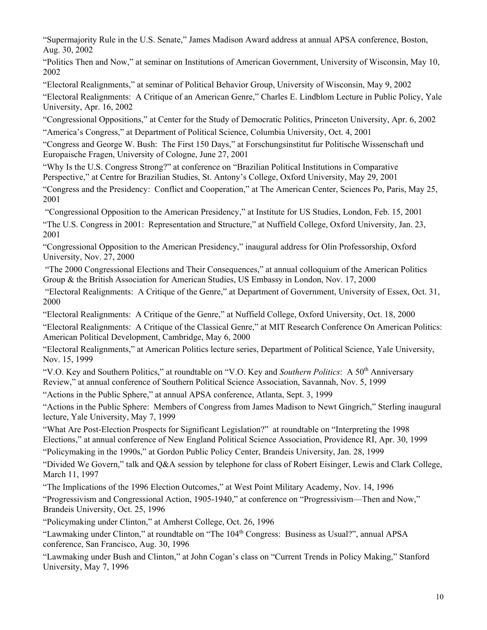"Supermajority Rule in the U.S. Senate," James Madison Award address at annual APSA conference, Boston, Aug. 30, 2002

"Politics Then and Now," at seminar on Institutions of American Government, University of Wisconsin, May 10, 2002

"Electoral Realignments," at seminar of Political Behavior Group, University of Wisconsin, May 9, 2002 "Electoral Realignments: A Critique of an American Genre," Charles E. Lindblom Lecture in Public Policy, Yale University, Apr. 16, 2002

 "Congressional Oppositions," at Center for the Study of Democratic Politics, Princeton University, Apr. 6, 2002 "America's Congress," at Department of Political Science, Columbia University, Oct. 4, 2001

 Europaische Fragen, University of Cologne, June 27, 2001 "Congress and George W. Bush: The First 150 Days," at Forschungsinstitut fur Politische Wissenschaft und

"Why Is the U.S. Congress Strong?" at conference on "Brazilian Political Institutions in Comparative Perspective," at Centre for Brazilian Studies, St. Antony's College, Oxford University, May 29, 2001

"Congress and the Presidency: Conflict and Cooperation," at The American Center, Sciences Po, Paris, May 25, 2001

 "Congressional Opposition to the American Presidency," at Institute for US Studies, London, Feb. 15, 2001 "The U.S. Congress in 2001: Representation and Structure," at Nuffield College, Oxford University, Jan. 23, 2001

"Congressional Opposition to the American Presidency," inaugural address for Olin Professorship, Oxford University, Nov. 27, 2000

 "The 2000 Congressional Elections and Their Consequences," at annual colloquium of the American Politics Group & the British Association for American Studies, US Embassy in London, Nov. 17, 2000

 "Electoral Realignments: A Critique of the Genre," at Department of Government, University of Essex, Oct. 31, 2000

"Electoral Realignments: A Critique of the Genre," at Nuffield College, Oxford University, Oct. 18, 2000

"Electoral Realignments: A Critique of the Classical Genre," at MIT Research Conference On American Politics: American Political Development, Cambridge, May 6, 2000

"Electoral Realignments," at American Politics lecture series, Department of Political Science, Yale University, Nov. 15, 1999

"V.O. Key and Southern Politics," at roundtable on "V.O. Key and *Southern Politics*: A 50<sup>th</sup> Anniversary Review," at annual conference of Southern Political Science Association, Savannah, Nov. 5, 1999

"Actions in the Public Sphere," at annual APSA conference, Atlanta, Sept. 3, 1999

"Actions in the Public Sphere: Members of Congress from James Madison to Newt Gingrich," Sterling inaugural lecture, Yale University, May 7, 1999

 "What Are Post-Election Prospects for Significant Legislation?" at roundtable on "Interpreting the 1998 Elections," at annual conference of New England Political Science Association, Providence RI, Apr. 30, 1999

 "Policymaking in the 1990s," at Gordon Public Policy Center, Brandeis University, Jan. 28, 1999

"Divided We Govern," talk and Q&A session by telephone for class of Robert Eisinger, Lewis and Clark College, March 11, 1997

"The Implications of the 1996 Election Outcomes," at West Point Military Academy, Nov. 14, 1996

"Progressivism and Congressional Action, 1905-1940," at conference on "Progressivism—Then and Now," Brandeis University, Oct. 25, 1996

"Policymaking under Clinton," at Amherst College, Oct. 26, 1996

"Lawmaking under Clinton," at roundtable on "The 104<sup>th</sup> Congress: Business as Usual?", annual APSA conference, San Francisco, Aug. 30, 1996

"Lawmaking under Bush and Clinton," at John Cogan's class on "Current Trends in Policy Making," Stanford University, May 7, 1996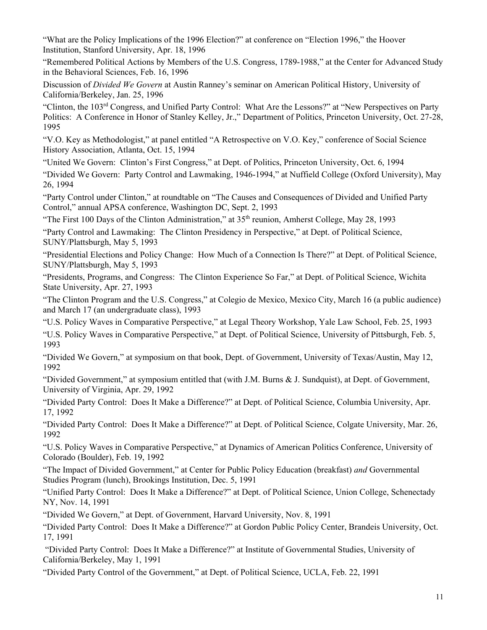"What are the Policy Implications of the 1996 Election?" at conference on "Election 1996," the Hoover Institution, Stanford University, Apr. 18, 1996

"Remembered Political Actions by Members of the U.S. Congress, 1789-1988," at the Center for Advanced Study in the Behavioral Sciences, Feb. 16, 1996

Discussion of *Divided We Govern* at Austin Ranney's seminar on American Political History, University of California/Berkeley, Jan. 25, 1996

"Clinton, the 103rd Congress, and Unified Party Control: What Are the Lessons?" at "New Perspectives on Party Politics: A Conference in Honor of Stanley Kelley, Jr.," Department of Politics, Princeton University, Oct. 27-28, 1995

"V.O. Key as Methodologist," at panel entitled "A Retrospective on V.O. Key," conference of Social Science History Association, Atlanta, Oct. 15, 1994

"United We Govern: Clinton's First Congress," at Dept. of Politics, Princeton University, Oct. 6, 1994

"Divided We Govern: Party Control and Lawmaking, 1946-1994," at Nuffield College (Oxford University), May 26, 1994

"Party Control under Clinton," at roundtable on "The Causes and Consequences of Divided and Unified Party Control," annual APSA conference, Washington DC, Sept. 2, 1993

"The First 100 Days of the Clinton Administration," at  $35<sup>th</sup>$  reunion, Amherst College, May 28, 1993

"Party Control and Lawmaking: The Clinton Presidency in Perspective," at Dept. of Political Science, SUNY/Plattsburgh, May 5, 1993

"Presidential Elections and Policy Change: How Much of a Connection Is There?" at Dept. of Political Science, SUNY/Plattsburgh, May 5, 1993

"Presidents, Programs, and Congress: The Clinton Experience So Far," at Dept. of Political Science, Wichita State University, Apr. 27, 1993

"The Clinton Program and the U.S. Congress," at Colegio de Mexico, Mexico City, March 16 (a public audience) and March 17 (an undergraduate class), 1993

"U.S. Policy Waves in Comparative Perspective," at Legal Theory Workshop, Yale Law School, Feb. 25, 1993

"U.S. Policy Waves in Comparative Perspective," at Dept. of Political Science, University of Pittsburgh, Feb. 5, 1993

"Divided We Govern," at symposium on that book, Dept. of Government, University of Texas/Austin, May 12, 1992

"Divided Government," at symposium entitled that (with J.M. Burns & J. Sundquist), at Dept. of Government, University of Virginia, Apr. 29, 1992

"Divided Party Control: Does It Make a Difference?" at Dept. of Political Science, Columbia University, Apr. 17, 1992

"Divided Party Control: Does It Make a Difference?" at Dept. of Political Science, Colgate University, Mar. 26, 1992

"U.S. Policy Waves in Comparative Perspective," at Dynamics of American Politics Conference, University of Colorado (Boulder), Feb. 19, 1992

"The Impact of Divided Government," at Center for Public Policy Education (breakfast) *and* Governmental Studies Program (lunch), Brookings Institution, Dec. 5, 1991

"Unified Party Control: Does It Make a Difference?" at Dept. of Political Science, Union College, Schenectady NY, Nov. 14, 1991

"Divided We Govern," at Dept. of Government, Harvard University, Nov. 8, 1991

"Divided Party Control: Does It Make a Difference?" at Gordon Public Policy Center, Brandeis University, Oct. 17, 1991

 "Divided Party Control: Does It Make a Difference?" at Institute of Governmental Studies, University of California/Berkeley, May 1, 1991

"Divided Party Control of the Government," at Dept. of Political Science, UCLA, Feb. 22, 1991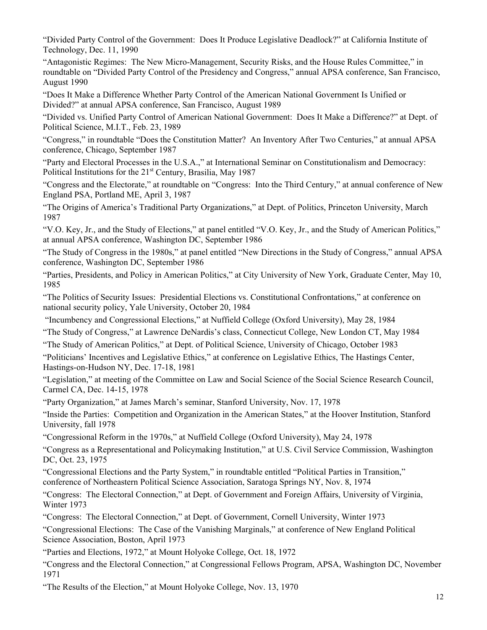"Divided Party Control of the Government: Does It Produce Legislative Deadlock?" at California Institute of Technology, Dec. 11, 1990

"Antagonistic Regimes: The New Micro-Management, Security Risks, and the House Rules Committee," in roundtable on "Divided Party Control of the Presidency and Congress," annual APSA conference, San Francisco, August 1990

"Does It Make a Difference Whether Party Control of the American National Government Is Unified or Divided?" at annual APSA conference, San Francisco, August 1989

"Divided vs. Unified Party Control of American National Government: Does It Make a Difference?" at Dept. of Political Science, M.I.T., Feb. 23, 1989

"Congress," in roundtable "Does the Constitution Matter? An Inventory After Two Centuries," at annual APSA conference, Chicago, September 1987

 "Party and Electoral Processes in the U.S.A.," at International Seminar on Constitutionalism and Democracy: Political Institutions for the 21<sup>st</sup> Century, Brasilia, May 1987

"Congress and the Electorate," at roundtable on "Congress: Into the Third Century," at annual conference of New England PSA, Portland ME, April 3, 1987

"The Origins of America's Traditional Party Organizations," at Dept. of Politics, Princeton University, March 1987

"V.O. Key, Jr., and the Study of Elections," at panel entitled "V.O. Key, Jr., and the Study of American Politics," at annual APSA conference, Washington DC, September 1986

"The Study of Congress in the 1980s," at panel entitled "New Directions in the Study of Congress," annual APSA conference, Washington DC, September 1986

"Parties, Presidents, and Policy in American Politics," at City University of New York, Graduate Center, May 10, 1985

"The Politics of Security Issues: Presidential Elections vs. Constitutional Confrontations," at conference on national security policy, Yale University, October 20, 1984

"Incumbency and Congressional Elections," at Nuffield College (Oxford University), May 28, 1984

"The Study of Congress," at Lawrence DeNardis's class, Connecticut College, New London CT, May 1984

"The Study of American Politics," at Dept. of Political Science, University of Chicago, October 1983

"Politicians' Incentives and Legislative Ethics," at conference on Legislative Ethics, The Hastings Center, Hastings-on-Hudson NY, Dec. 17-18, 1981

"Legislation," at meeting of the Committee on Law and Social Science of the Social Science Research Council, Carmel CA, Dec. 14-15, 1978

"Party Organization," at James March's seminar, Stanford University, Nov. 17, 1978

"Inside the Parties: Competition and Organization in the American States," at the Hoover Institution, Stanford University, fall 1978

"Congressional Reform in the 1970s," at Nuffield College (Oxford University), May 24, 1978

"Congress as a Representational and Policymaking Institution," at U.S. Civil Service Commission, Washington DC, Oct. 23, 1975

"Congressional Elections and the Party System," in roundtable entitled "Political Parties in Transition," conference of Northeastern Political Science Association, Saratoga Springs NY, Nov. 8, 1974

"Congress: The Electoral Connection," at Dept. of Government and Foreign Affairs, University of Virginia, Winter 1973

"Congress: The Electoral Connection," at Dept. of Government, Cornell University, Winter 1973

"Congressional Elections: The Case of the Vanishing Marginals," at conference of New England Political Science Association, Boston, April 1973

"Parties and Elections, 1972," at Mount Holyoke College, Oct. 18, 1972

"Congress and the Electoral Connection," at Congressional Fellows Program, APSA, Washington DC, November 1971

"The Results of the Election," at Mount Holyoke College, Nov. 13, 1970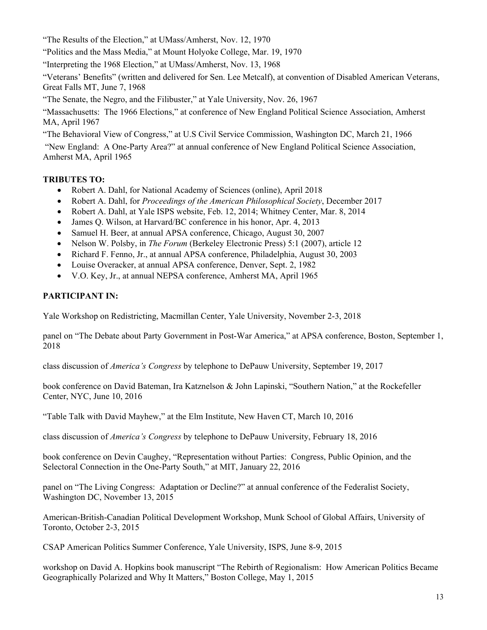"The Results of the Election," at UMass/Amherst, Nov. 12, 1970

"Politics and the Mass Media," at Mount Holyoke College, Mar. 19, 1970

"Interpreting the 1968 Election," at UMass/Amherst, Nov. 13, 1968

"Veterans' Benefits" (written and delivered for Sen. Lee Metcalf), at convention of Disabled American Veterans, Great Falls MT, June 7, 1968

"The Senate, the Negro, and the Filibuster," at Yale University, Nov. 26, 1967

"Massachusetts: The 1966 Elections," at conference of New England Political Science Association, Amherst MA, April 1967

"The Behavioral View of Congress," at U.S Civil Service Commission, Washington DC, March 21, 1966

 "New England: A One-Party Area?" at annual conference of New England Political Science Association, Amherst MA, April 1965

# **TRIBUTES TO:**

- Robert A. Dahl, for National Academy of Sciences (online), April 2018
- Robert A. Dahl, for *Proceedings of the American Philosophical Society*, December 2017
- Robert A. Dahl, at Yale ISPS website, Feb. 12, 2014; Whitney Center, Mar. 8, 2014
- James Q. Wilson, at Harvard/BC conference in his honor, Apr. 4, 2013
- Samuel H. Beer, at annual APSA conference, Chicago, August 30, 2007
- Nelson W. Polsby, in *The Forum* (Berkeley Electronic Press) 5:1 (2007), article 12
- Richard F. Fenno, Jr., at annual APSA conference, Philadelphia, August 30, 2003
- Louise Overacker, at annual APSA conference, Denver, Sept. 2, 1982
- V.O. Key, Jr., at annual NEPSA conference, Amherst MA, April 1965

# **PARTICIPANT IN:**

Yale Workshop on Redistricting, Macmillan Center, Yale University, November 2-3, 2018

 2018 panel on "The Debate about Party Government in Post-War America," at APSA conference, Boston, September 1,

class discussion of *America's Congress* by telephone to DePauw University, September 19, 2017

book conference on David Bateman, Ira Katznelson & John Lapinski, "Southern Nation," at the Rockefeller Center, NYC, June 10, 2016

"Table Talk with David Mayhew," at the Elm Institute, New Haven CT, March 10, 2016

class discussion of *America's Congress* by telephone to DePauw University, February 18, 2016

book conference on Devin Caughey, "Representation without Parties: Congress, Public Opinion, and the Selectoral Connection in the One-Party South," at MIT, January 22, 2016

panel on "The Living Congress: Adaptation or Decline?" at annual conference of the Federalist Society, Washington DC, November 13, 2015

American-British-Canadian Political Development Workshop, Munk School of Global Affairs, University of Toronto, October 2-3, 2015

CSAP American Politics Summer Conference, Yale University, ISPS, June 8-9, 2015

workshop on David A. Hopkins book manuscript "The Rebirth of Regionalism: How American Politics Became Geographically Polarized and Why It Matters," Boston College, May 1, 2015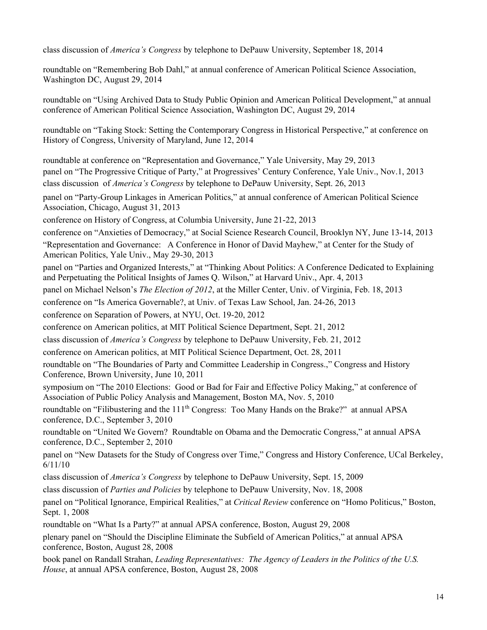class discussion of *America's Congress* by telephone to DePauw University, September 18, 2014

roundtable on "Remembering Bob Dahl," at annual conference of American Political Science Association, Washington DC, August 29, 2014

roundtable on "Using Archived Data to Study Public Opinion and American Political Development," at annual conference of American Political Science Association, Washington DC, August 29, 2014

 History of Congress, University of Maryland, June 12, 2014 roundtable on "Taking Stock: Setting the Contemporary Congress in Historical Perspective," at conference on

roundtable at conference on "Representation and Governance," Yale University, May 29, 2013 panel on "The Progressive Critique of Party," at Progressives' Century Conference, Yale Univ., Nov.1, 2013 class discussion of *America's Congress* by telephone to DePauw University, Sept. 26, 2013

panel on "Party-Group Linkages in American Politics," at annual conference of American Political Science Association, Chicago, August 31, 2013

conference on History of Congress, at Columbia University, June 21-22, 2013

conference on "Anxieties of Democracy," at Social Science Research Council, Brooklyn NY, June 13-14, 2013

"Representation and Governance: A Conference in Honor of David Mayhew," at Center for the Study of American Politics, Yale Univ., May 29-30, 2013

panel on "Parties and Organized Interests," at "Thinking About Politics: A Conference Dedicated to Explaining and Perpetuating the Political Insights of James Q. Wilson," at Harvard Univ., Apr. 4, 2013

panel on Michael Nelson's *The Election of 2012*, at the Miller Center, Univ. of Virginia, Feb. 18, 2013

conference on "Is America Governable?, at Univ. of Texas Law School, Jan. 24-26, 2013

conference on Separation of Powers, at NYU, Oct. 19-20, 2012

conference on American politics, at MIT Political Science Department, Sept. 21, 2012

class discussion of *America's Congress* by telephone to DePauw University, Feb. 21, 2012

conference on American politics, at MIT Political Science Department, Oct. 28, 2011

roundtable on "The Boundaries of Party and Committee Leadership in Congress.," Congress and History Conference, Brown University, June 10, 2011

symposium on "The 2010 Elections: Good or Bad for Fair and Effective Policy Making," at conference of Association of Public Policy Analysis and Management, Boston MA, Nov. 5, 2010

roundtable on "Filibustering and the 111<sup>th</sup> Congress: Too Many Hands on the Brake?" at annual APSA conference, D.C., September 3, 2010

roundtable on "United We Govern? Roundtable on Obama and the Democratic Congress," at annual APSA conference, D.C., September 2, 2010

 6/11/10 panel on "New Datasets for the Study of Congress over Time," Congress and History Conference, UCal Berkeley,

class discussion of *America's Congress* by telephone to DePauw University, Sept. 15, 2009

class discussion of *Parties and Policies* by telephone to DePauw University, Nov. 18, 2008

panel on "Political Ignorance, Empirical Realities," at *Critical Review* conference on "Homo Politicus," Boston, Sept. 1, 2008

roundtable on "What Is a Party?" at annual APSA conference, Boston, August 29, 2008

plenary panel on "Should the Discipline Eliminate the Subfield of American Politics," at annual APSA conference, Boston, August 28, 2008

book panel on Randall Strahan, *Leading Representatives: The Agency of Leaders in the Politics of the U.S. House*, at annual APSA conference, Boston, August 28, 2008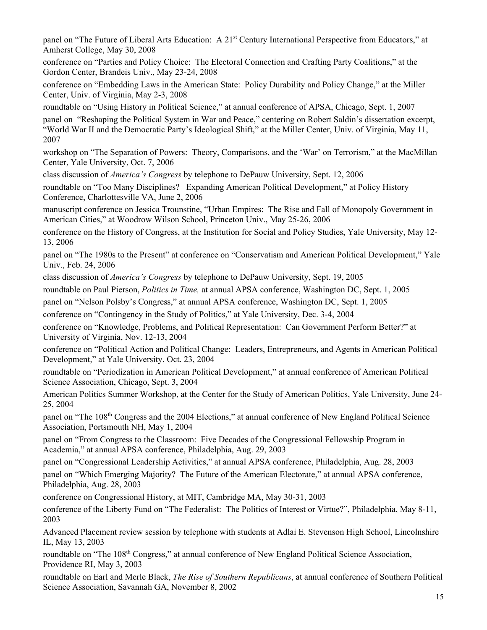Amherst College, May 30, 2008 panel on "The Future of Liberal Arts Education: A 21<sup>st</sup> Century International Perspective from Educators," at

conference on "Parties and Policy Choice: The Electoral Connection and Crafting Party Coalitions," at the Gordon Center, Brandeis Univ., May 23-24, 2008

 Center, Univ. of Virginia, May 2-3, 2008 conference on "Embedding Laws in the American State: Policy Durability and Policy Change," at the Miller

roundtable on "Using History in Political Science," at annual conference of APSA, Chicago, Sept. 1, 2007

 2007 panel on "Reshaping the Political System in War and Peace," centering on Robert Saldin's dissertation excerpt, "World War II and the Democratic Party's Ideological Shift," at the Miller Center, Univ. of Virginia, May 11,

workshop on "The Separation of Powers: Theory, Comparisons, and the 'War' on Terrorism," at the MacMillan Center, Yale University, Oct. 7, 2006

class discussion of *America's Congress* by telephone to DePauw University, Sept. 12, 2006

 roundtable on "Too Many Disciplines? Expanding American Political Development," at Policy History Conference, Charlottesville VA, June 2, 2006

manuscript conference on Jessica Trounstine, "Urban Empires: The Rise and Fall of Monopoly Government in American Cities," at Woodrow Wilson School, Princeton Univ., May 25-26, 2006

 13, 2006 conference on the History of Congress, at the Institution for Social and Policy Studies, Yale University, May 12-

panel on "The 1980s to the Present" at conference on "Conservatism and American Political Development," Yale Univ., Feb. 24, 2006

class discussion of *America's Congress* by telephone to DePauw University, Sept. 19, 2005

roundtable on Paul Pierson, *Politics in Time,* at annual APSA conference, Washington DC, Sept. 1, 2005

panel on "Nelson Polsby's Congress," at annual APSA conference, Washington DC, Sept. 1, 2005

conference on "Contingency in the Study of Politics," at Yale University, Dec. 3-4, 2004

conference on "Knowledge, Problems, and Political Representation: Can Government Perform Better?" at University of Virginia, Nov. 12-13, 2004

conference on "Political Action and Political Change: Leaders, Entrepreneurs, and Agents in American Political Development," at Yale University, Oct. 23, 2004

roundtable on "Periodization in American Political Development," at annual conference of American Political Science Association, Chicago, Sept. 3, 2004

 25, 2004 American Politics Summer Workshop, at the Center for the Study of American Politics, Yale University, June 24-

panel on "The 108<sup>th</sup> Congress and the 2004 Elections," at annual conference of New England Political Science Association, Portsmouth NH, May 1, 2004

panel on "From Congress to the Classroom: Five Decades of the Congressional Fellowship Program in Academia," at annual APSA conference, Philadelphia, Aug. 29, 2003

panel on "Congressional Leadership Activities," at annual APSA conference, Philadelphia, Aug. 28, 2003 panel on "Which Emerging Majority? The Future of the American Electorate," at annual APSA conference, Philadelphia, Aug. 28, 2003

conference on Congressional History, at MIT, Cambridge MA, May 30-31, 2003

 2003 conference of the Liberty Fund on "The Federalist: The Politics of Interest or Virtue?", Philadelphia, May 8-11,

 IL, May 13, 2003 Advanced Placement review session by telephone with students at Adlai E. Stevenson High School, Lincolnshire

 Providence RI, May 3, 2003 roundtable on "The 108<sup>th</sup> Congress," at annual conference of New England Political Science Association,

roundtable on Earl and Merle Black, *The Rise of Southern Republicans*, at annual conference of Southern Political Science Association, Savannah GA, November 8, 2002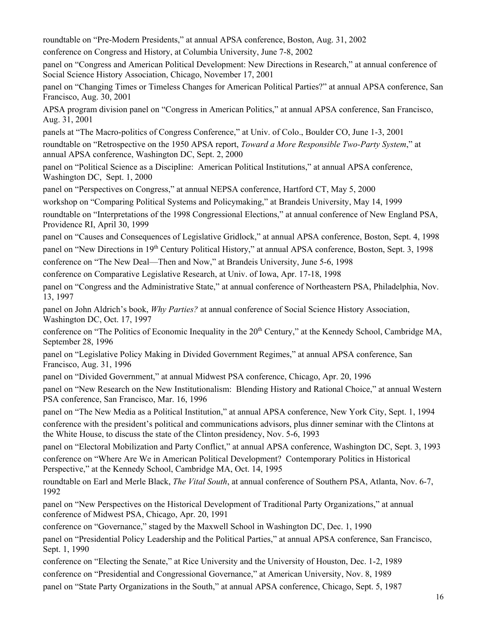roundtable on "Pre-Modern Presidents," at annual APSA conference, Boston, Aug. 31, 2002

conference on Congress and History, at Columbia University, June 7-8, 2002

panel on "Congress and American Political Development: New Directions in Research," at annual conference of Social Science History Association, Chicago, November 17, 2001

panel on "Changing Times or Timeless Changes for American Political Parties?" at annual APSA conference, San Francisco, Aug. 30, 2001

APSA program division panel on "Congress in American Politics," at annual APSA conference, San Francisco, Aug. 31, 2001

panels at "The Macro-politics of Congress Conference," at Univ. of Colo., Boulder CO, June 1-3, 2001

roundtable on "Retrospective on the 1950 APSA report, *Toward a More Responsible Two-Party System*," at annual APSA conference, Washington DC, Sept. 2, 2000

panel on "Political Science as a Discipline: American Political Institutions," at annual APSA conference, Washington DC, Sept. 1, 2000

panel on "Perspectives on Congress," at annual NEPSA conference, Hartford CT, May 5, 2000

workshop on "Comparing Political Systems and Policymaking," at Brandeis University, May 14, 1999

roundtable on "Interpretations of the 1998 Congressional Elections," at annual conference of New England PSA, Providence RI, April 30, 1999

panel on "Causes and Consequences of Legislative Gridlock," at annual APSA conference, Boston, Sept. 4, 1998 panel on "New Directions in 19<sup>th</sup> Century Political History," at annual APSA conference, Boston, Sept. 3, 1998

conference on "The New Deal—Then and Now," at Brandeis University, June 5-6, 1998

conference on Comparative Legislative Research, at Univ. of Iowa, Apr. 17-18, 1998

panel on "Congress and the Administrative State," at annual conference of Northeastern PSA, Philadelphia, Nov. 13, 1997

panel on John Aldrich's book, *Why Parties?* at annual conference of Social Science History Association, Washington DC, Oct. 17, 1997

conference on "The Politics of Economic Inequality in the 20<sup>th</sup> Century," at the Kennedy School, Cambridge MA, September 28, 1996

panel on "Legislative Policy Making in Divided Government Regimes," at annual APSA conference, San Francisco, Aug. 31, 1996

panel on "Divided Government," at annual Midwest PSA conference, Chicago, Apr. 20, 1996

panel on "New Research on the New Institutionalism: Blending History and Rational Choice," at annual Western PSA conference, San Francisco, Mar. 16, 1996

 panel on "The New Media as a Political Institution," at annual APSA conference, New York City, Sept. 1, 1994 conference with the president's political and communications advisors, plus dinner seminar with the Clintons at the White House, to discuss the state of the Clinton presidency, Nov. 5-6, 1993

panel on "Electoral Mobilization and Party Conflict," at annual APSA conference, Washington DC, Sept. 3, 1993 conference on "Where Are We in American Political Development? Contemporary Politics in Historical Perspective," at the Kennedy School, Cambridge MA, Oct. 14, 1995

roundtable on Earl and Merle Black, *The Vital South*, at annual conference of Southern PSA, Atlanta, Nov. 6-7, 1992

panel on "New Perspectives on the Historical Development of Traditional Party Organizations," at annual conference of Midwest PSA, Chicago, Apr. 20, 1991

conference on "Governance," staged by the Maxwell School in Washington DC, Dec. 1, 1990

panel on "Presidential Policy Leadership and the Political Parties," at annual APSA conference, San Francisco, Sept. 1, 1990

conference on "Electing the Senate," at Rice University and the University of Houston, Dec. 1-2, 1989 conference on "Presidential and Congressional Governance," at American University, Nov. 8, 1989 panel on "State Party Organizations in the South," at annual APSA conference, Chicago, Sept. 5, 1987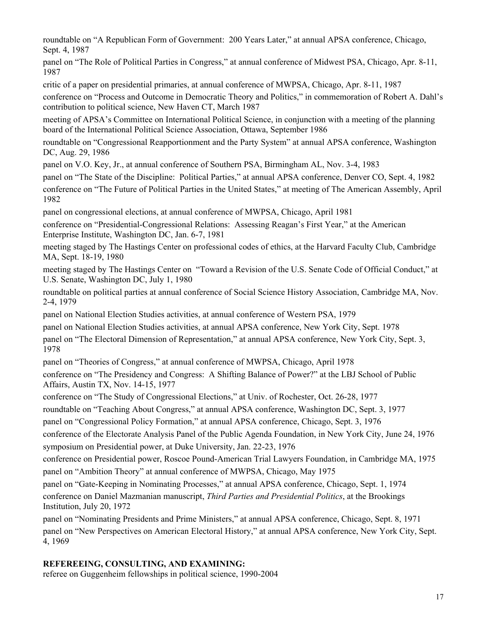roundtable on "A Republican Form of Government: 200 Years Later," at annual APSA conference, Chicago, Sept. 4, 1987

 1987 panel on "The Role of Political Parties in Congress," at annual conference of Midwest PSA, Chicago, Apr. 8-11,

critic of a paper on presidential primaries, at annual conference of MWPSA, Chicago, Apr. 8-11, 1987

conference on "Process and Outcome in Democratic Theory and Politics," in commemoration of Robert A. Dahl's contribution to political science, New Haven CT, March 1987

 board of the International Political Science Association, Ottawa, September 1986 meeting of APSA's Committee on International Political Science, in conjunction with a meeting of the planning

roundtable on "Congressional Reapportionment and the Party System" at annual APSA conference, Washington DC, Aug. 29, 1986

panel on V.O. Key, Jr., at annual conference of Southern PSA, Birmingham AL, Nov. 3-4, 1983

panel on "The State of the Discipline: Political Parties," at annual APSA conference, Denver CO, Sept. 4, 1982 conference on "The Future of Political Parties in the United States," at meeting of The American Assembly, April 1982

panel on congressional elections, at annual conference of MWPSA, Chicago, April 1981

conference on "Presidential-Congressional Relations: Assessing Reagan's First Year," at the American Enterprise Institute, Washington DC, Jan. 6-7, 1981

meeting staged by The Hastings Center on professional codes of ethics, at the Harvard Faculty Club, Cambridge MA, Sept. 18-19, 1980

 U.S. Senate, Washington DC, July 1, 1980 meeting staged by The Hastings Center on "Toward a Revision of the U.S. Senate Code of Official Conduct," at

roundtable on political parties at annual conference of Social Science History Association, Cambridge MA, Nov. 2-4, 1979

panel on National Election Studies activities, at annual conference of Western PSA, 1979

panel on National Election Studies activities, at annual APSA conference, New York City, Sept. 1978

panel on "The Electoral Dimension of Representation," at annual APSA conference, New York City, Sept. 3, 1978

panel on "Theories of Congress," at annual conference of MWPSA, Chicago, April 1978

conference on "The Presidency and Congress: A Shifting Balance of Power?" at the LBJ School of Public Affairs, Austin TX, Nov. 14-15, 1977

conference on "The Study of Congressional Elections," at Univ. of Rochester, Oct. 26-28, 1977

roundtable on "Teaching About Congress," at annual APSA conference, Washington DC, Sept. 3, 1977

panel on "Congressional Policy Formation," at annual APSA conference, Chicago, Sept. 3, 1976

conference of the Electorate Analysis Panel of the Public Agenda Foundation, in New York City, June 24, 1976 symposium on Presidential power, at Duke University, Jan. 22-23, 1976

 panel on "Ambition Theory" at annual conference of MWPSA, Chicago, May 1975 conference on Presidential power, Roscoe Pound-American Trial Lawyers Foundation, in Cambridge MA, 1975

panel on "Gate-Keeping in Nominating Processes," at annual APSA conference, Chicago, Sept. 1, 1974 conference on Daniel Mazmanian manuscript, *Third Parties and Presidential Politics*, at the Brookings Institution, July 20, 1972

panel on "Nominating Presidents and Prime Ministers," at annual APSA conference, Chicago, Sept. 8, 1971 panel on "New Perspectives on American Electoral History," at annual APSA conference, New York City, Sept. 4, 1969

### **REFEREEING, CONSULTING, AND EXAMINING:**

referee on Guggenheim fellowships in political science, 1990-2004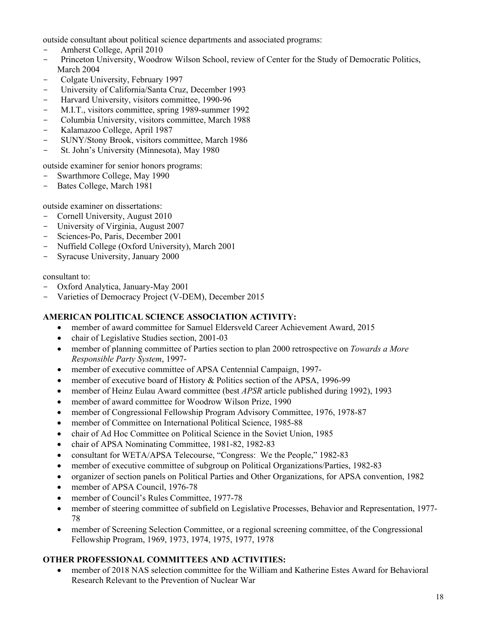outside consultant about political science departments and associated programs:

- Amherst College, April 2010
- Princeton University, Woodrow Wilson School, review of Center for the Study of Democratic Politics, March 2004
- Colgate University, February 1997
- University of California/Santa Cruz, December 1993
- Harvard University, visitors committee, 1990-96
- M.I.T., visitors committee, spring 1989-summer 1992
- Columbia University, visitors committee, March 1988
- Kalamazoo College, April 1987
- SUNY/Stony Brook, visitors committee, March 1986
- St. John's University (Minnesota), May 1980

outside examiner for senior honors programs:

- Swarthmore College, May 1990
- Bates College, March 1981

outside examiner on dissertations:

- Cornell University, August 2010
- University of Virginia, August 2007
- Sciences-Po, Paris, December 2001
- Nuffield College (Oxford University), March 2001
- Syracuse University, January 2000

consultant to:

- Oxford Analytica, January-May 2001
- Varieties of Democracy Project (V-DEM), December 2015

# **AMERICAN POLITICAL SCIENCE ASSOCIATION ACTIVITY:**

- member of award committee for Samuel Eldersveld Career Achievement Award, 2015
- chair of Legislative Studies section, 2001-03
- member of planning committee of Parties section to plan 2000 retrospective on *Towards a More Responsible Party System*, 1997-
- member of executive committee of APSA Centennial Campaign, 1997-
- member of executive board of History & Politics section of the APSA, 1996-99
- member of Heinz Eulau Award committee (best *APSR* article published during 1992), 1993
- member of award committee for Woodrow Wilson Prize, 1990
- member of Congressional Fellowship Program Advisory Committee, 1976, 1978-87
- member of Committee on International Political Science, 1985-88
- chair of Ad Hoc Committee on Political Science in the Soviet Union, 1985
- chair of APSA Nominating Committee, 1981-82, 1982-83
- consultant for WETA/APSA Telecourse, "Congress: We the People," 1982-83
- member of executive committee of subgroup on Political Organizations/Parties, 1982-83
- organizer of section panels on Political Parties and Other Organizations, for APSA convention, 1982
- member of APSA Council, 1976-78
- member of Council's Rules Committee, 1977-78
- member of steering committee of subfield on Legislative Processes, Behavior and Representation, 1977- 78
- member of Screening Selection Committee, or a regional screening committee, of the Congressional Fellowship Program, 1969, 1973, 1974, 1975, 1977, 1978

# **OTHER PROFESSIONAL COMMITTEES AND ACTIVITIES:**

 member of 2018 NAS selection committee for the William and Katherine Estes Award for Behavioral Research Relevant to the Prevention of Nuclear War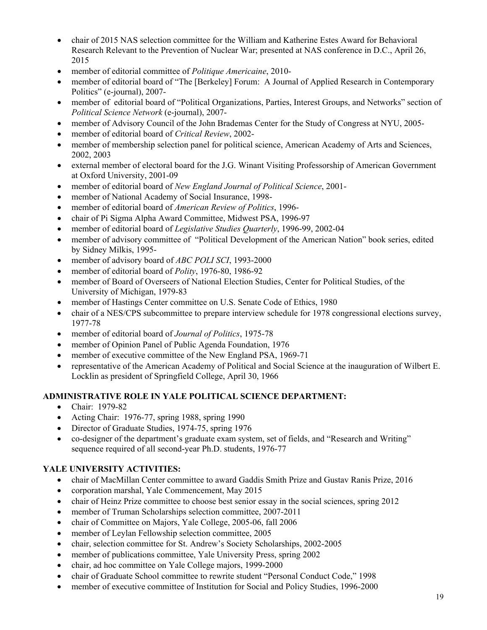- 2015 chair of 2015 NAS selection committee for the William and Katherine Estes Award for Behavioral Research Relevant to the Prevention of Nuclear War; presented at NAS conference in D.C., April 26,
- member of editorial committee of *Politique Americaine*, 2010-
- member of editorial board of "The [Berkeley] Forum: A Journal of Applied Research in Contemporary Politics" (e-journal), 2007-
- member of editorial board of "Political Organizations, Parties, Interest Groups, and Networks" section of *Political Science Network* (e-journal), 2007-
- member of Advisory Council of the John Brademas Center for the Study of Congress at NYU, 2005-
- member of editorial board of *Critical Review*, 2002-
- member of membership selection panel for political science, American Academy of Arts and Sciences, 2002, 2003
- external member of electoral board for the J.G. Winant Visiting Professorship of American Government at Oxford University, 2001-09
- member of editorial board of *New England Journal of Political Science*, 2001-
- member of National Academy of Social Insurance, 1998-
- member of editorial board of *American Review of Politics*, 1996-
- chair of Pi Sigma Alpha Award Committee, Midwest PSA, 1996-97
- member of editorial board of *Legislative Studies Quarterly*, 1996-99, 2002-04
- member of advisory committee of "Political Development of the American Nation" book series, edited by Sidney Milkis, 1995-
- member of advisory board of *ABC POLI SCI*, 1993-2000
- member of editorial board of *Polity*, 1976-80, 1986-92
- member of Board of Overseers of National Election Studies, Center for Political Studies, of the University of Michigan, 1979-83
- member of Hastings Center committee on U.S. Senate Code of Ethics, 1980
- chair of a NES/CPS subcommittee to prepare interview schedule for 1978 congressional elections survey, 1977-78
- member of editorial board of *Journal of Politics*, 1975-78
- member of Opinion Panel of Public Agenda Foundation, 1976
- member of executive committee of the New England PSA, 1969-71
- Locklin as president of Springfield College, April 30, 1966 representative of the American Academy of Political and Social Science at the inauguration of Wilbert E.

# **ADMINISTRATIVE ROLE IN YALE POLITICAL SCIENCE DEPARTMENT:**

- Chair: 1979-82
- Acting Chair: 1976-77, spring 1988, spring 1990
- Director of Graduate Studies, 1974-75, spring 1976
- co-designer of the department's graduate exam system, set of fields, and "Research and Writing" sequence required of all second-year Ph.D. students, 1976-77

# **YALE UNIVERSITY ACTIVITIES:**

- chair of MacMillan Center committee to award Gaddis Smith Prize and Gustav Ranis Prize, 2016
- corporation marshal, Yale Commencement, May 2015
- chair of Heinz Prize committee to choose best senior essay in the social sciences, spring 2012
- member of Truman Scholarships selection committee, 2007-2011
- chair of Committee on Majors, Yale College, 2005-06, fall 2006
- member of Leylan Fellowship selection committee, 2005
- chair, selection committee for St. Andrew's Society Scholarships, 2002-2005
- member of publications committee, Yale University Press, spring 2002
- chair, ad hoc committee on Yale College majors, 1999-2000
- chair of Graduate School committee to rewrite student "Personal Conduct Code," 1998
- member of executive committee of Institution for Social and Policy Studies, 1996-2000